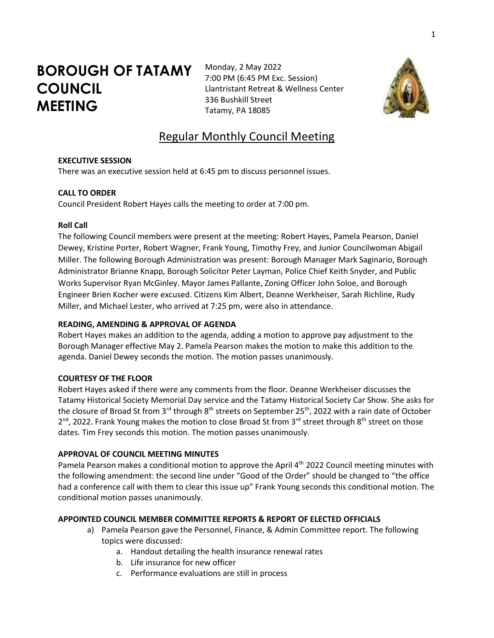# **BOROUGH OF TATAMY COUNCIL MEETING**

Monday, 2 May 2022 7:00 PM (6:45 PM Exc. Session) Llantristant Retreat & Wellness Center 336 Bushkill Street Tatamy, PA 18085



# Regular Monthly Council Meeting

#### **EXECUTIVE SESSION**

There was an executive session held at 6:45 pm to discuss personnel issues.

# **CALL TO ORDER**

Council President Robert Hayes calls the meeting to order at 7:00 pm.

# **Roll Call**

The following Council members were present at the meeting: Robert Hayes, Pamela Pearson, Daniel Dewey, Kristine Porter, Robert Wagner, Frank Young, Timothy Frey, and Junior Councilwoman Abigail Miller. The following Borough Administration was present: Borough Manager Mark Saginario, Borough Administrator Brianne Knapp, Borough Solicitor Peter Layman, Police Chief Keith Snyder, and Public Works Supervisor Ryan McGinley. Mayor James Pallante, Zoning Officer John Soloe, and Borough Engineer Brien Kocher were excused. Citizens Kim Albert, Deanne Werkheiser, Sarah Richline, Rudy Miller, and Michael Lester, who arrived at 7:25 pm, were also in attendance.

# **READING, AMENDING & APPROVAL OF AGENDA**

Robert Hayes makes an addition to the agenda, adding a motion to approve pay adjustment to the Borough Manager effective May 2. Pamela Pearson makes the motion to make this addition to the agenda. Daniel Dewey seconds the motion. The motion passes unanimously.

# **COURTESY OF THE FLOOR**

Robert Hayes asked if there were any comments from the floor. Deanne Werkheiser discusses the Tatamy Historical Society Memorial Day service and the Tatamy Historical Society Car Show. She asks for the closure of Broad St from 3<sup>rd</sup> through 8<sup>th</sup> streets on September 25<sup>th</sup>, 2022 with a rain date of October 2<sup>nd</sup>, 2022. Frank Young makes the motion to close Broad St from 3<sup>rd</sup> street through 8<sup>th</sup> street on those dates. Tim Frey seconds this motion. The motion passes unanimously.

# **APPROVAL OF COUNCIL MEETING MINUTES**

Pamela Pearson makes a conditional motion to approve the April 4<sup>th</sup> 2022 Council meeting minutes with the following amendment: the second line under "Good of the Order" should be changed to "the office had a conference call with them to clear this issue up" Frank Young seconds this conditional motion. The conditional motion passes unanimously.

# **APPOINTED COUNCIL MEMBER COMMITTEE REPORTS & REPORT OF ELECTED OFFICIALS**

- a) Pamela Pearson gave the Personnel, Finance, & Admin Committee report. The following topics were discussed:
	- a. Handout detailing the health insurance renewal rates
	- b. Life insurance for new officer
	- c. Performance evaluations are still in process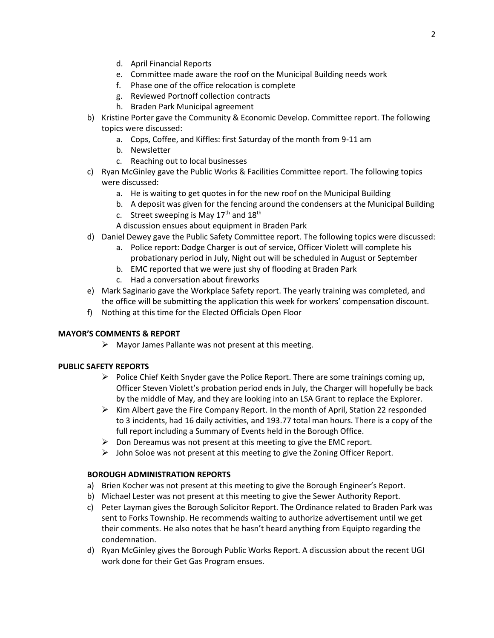- d. April Financial Reports
- e. Committee made aware the roof on the Municipal Building needs work
- f. Phase one of the office relocation is complete
- g. Reviewed Portnoff collection contracts
- h. Braden Park Municipal agreement
- b) Kristine Porter gave the Community & Economic Develop. Committee report. The following topics were discussed:
	- a. Cops, Coffee, and Kiffles: first Saturday of the month from 9-11 am
	- b. Newsletter
	- c. Reaching out to local businesses
- c) Ryan McGinley gave the Public Works & Facilities Committee report. The following topics were discussed:
	- a. He is waiting to get quotes in for the new roof on the Municipal Building
	- b. A deposit was given for the fencing around the condensers at the Municipal Building
	- c. Street sweeping is May  $17<sup>th</sup>$  and  $18<sup>th</sup>$
	- A discussion ensues about equipment in Braden Park
- d) Daniel Dewey gave the Public Safety Committee report. The following topics were discussed:
	- a. Police report: Dodge Charger is out of service, Officer Violett will complete his probationary period in July, Night out will be scheduled in August or September
	- b. EMC reported that we were just shy of flooding at Braden Park
	- c. Had a conversation about fireworks
- e) Mark Saginario gave the Workplace Safety report. The yearly training was completed, and the office will be submitting the application this week for workers' compensation discount.
- f) Nothing at this time for the Elected Officials Open Floor

# **MAYOR'S COMMENTS & REPORT**

➢ Mayor James Pallante was not present at this meeting.

# **PUBLIC SAFETY REPORTS**

- $\triangleright$  Police Chief Keith Snyder gave the Police Report. There are some trainings coming up, Officer Steven Violett's probation period ends in July, the Charger will hopefully be back by the middle of May, and they are looking into an LSA Grant to replace the Explorer.
- $\triangleright$  Kim Albert gave the Fire Company Report. In the month of April, Station 22 responded to 3 incidents, had 16 daily activities, and 193.77 total man hours. There is a copy of the full report including a Summary of Events held in the Borough Office.
- $\triangleright$  Don Dereamus was not present at this meeting to give the EMC report.
- $\triangleright$  John Soloe was not present at this meeting to give the Zoning Officer Report.

# **BOROUGH ADMINISTRATION REPORTS**

- a) Brien Kocher was not present at this meeting to give the Borough Engineer's Report.
- b) Michael Lester was not present at this meeting to give the Sewer Authority Report.
- c) Peter Layman gives the Borough Solicitor Report. The Ordinance related to Braden Park was sent to Forks Township. He recommends waiting to authorize advertisement until we get their comments. He also notes that he hasn't heard anything from Equipto regarding the condemnation.
- d) Ryan McGinley gives the Borough Public Works Report. A discussion about the recent UGI work done for their Get Gas Program ensues.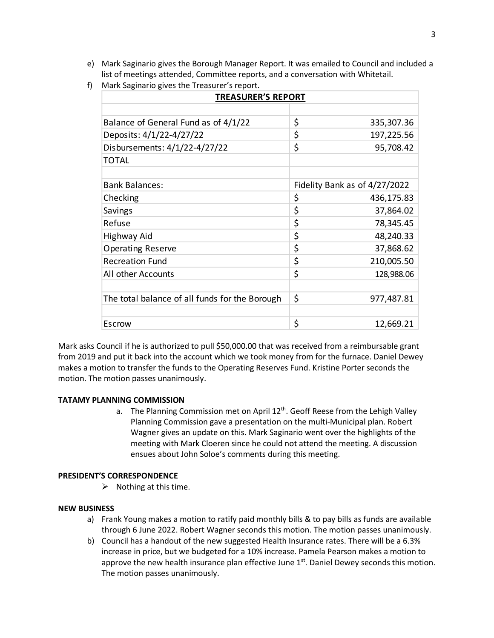- e) Mark Saginario gives the Borough Manager Report. It was emailed to Council and included a list of meetings attended, Committee reports, and a conversation with Whitetail.
- f) Mark Saginario gives the Treasurer's report.

| <b>TREASURER'S REPORT</b>                      |                               |            |
|------------------------------------------------|-------------------------------|------------|
|                                                |                               |            |
| Balance of General Fund as of 4/1/22           | \$                            | 335,307.36 |
| Deposits: 4/1/22-4/27/22                       | \$                            | 197,225.56 |
| Disbursements: 4/1/22-4/27/22                  | \$                            | 95,708.42  |
| <b>TOTAL</b>                                   |                               |            |
|                                                |                               |            |
| <b>Bank Balances:</b>                          | Fidelity Bank as of 4/27/2022 |            |
| Checking                                       | \$                            | 436,175.83 |
| Savings                                        | \$                            | 37,864.02  |
| Refuse                                         | \$                            | 78,345.45  |
| Highway Aid                                    | \$                            | 48,240.33  |
| Operating Reserve                              | \$                            | 37,868.62  |
| <b>Recreation Fund</b>                         | \$                            | 210,005.50 |
| All other Accounts                             | \$                            | 128,988.06 |
|                                                |                               |            |
| The total balance of all funds for the Borough | \$                            | 977,487.81 |
|                                                |                               |            |
| Escrow                                         | \$                            | 12,669.21  |

Mark asks Council if he is authorized to pull \$50,000.00 that was received from a reimbursable grant from 2019 and put it back into the account which we took money from for the furnace. Daniel Dewey makes a motion to transfer the funds to the Operating Reserves Fund. Kristine Porter seconds the motion. The motion passes unanimously.

#### **TATAMY PLANNING COMMISSION**

a. The Planning Commission met on April 12<sup>th</sup>. Geoff Reese from the Lehigh Valley Planning Commission gave a presentation on the multi-Municipal plan. Robert Wagner gives an update on this. Mark Saginario went over the highlights of the meeting with Mark Cloeren since he could not attend the meeting. A discussion ensues about John Soloe's comments during this meeting.

#### **PRESIDENT'S CORRESPONDENCE**

 $\triangleright$  Nothing at this time.

#### **NEW BUSINESS**

- a) Frank Young makes a motion to ratify paid monthly bills & to pay bills as funds are available through 6 June 2022. Robert Wagner seconds this motion. The motion passes unanimously.
- b) Council has a handout of the new suggested Health Insurance rates. There will be a 6.3% increase in price, but we budgeted for a 10% increase. Pamela Pearson makes a motion to approve the new health insurance plan effective June  $1<sup>st</sup>$ . Daniel Dewey seconds this motion. The motion passes unanimously.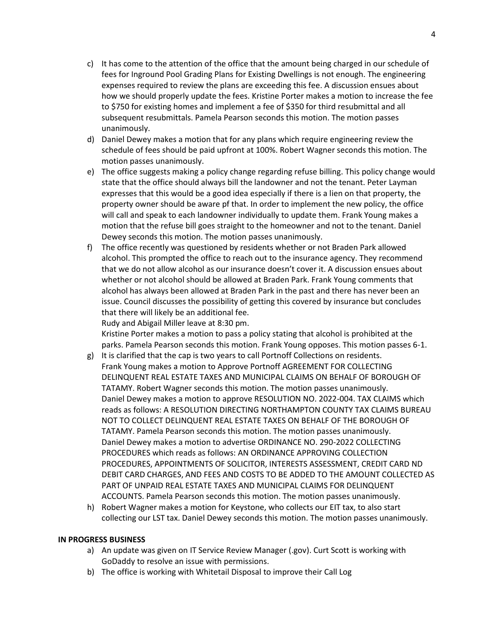- c) It has come to the attention of the office that the amount being charged in our schedule of fees for Inground Pool Grading Plans for Existing Dwellings is not enough. The engineering expenses required to review the plans are exceeding this fee. A discussion ensues about how we should properly update the fees. Kristine Porter makes a motion to increase the fee to \$750 for existing homes and implement a fee of \$350 for third resubmittal and all subsequent resubmittals. Pamela Pearson seconds this motion. The motion passes unanimously.
- d) Daniel Dewey makes a motion that for any plans which require engineering review the schedule of fees should be paid upfront at 100%. Robert Wagner seconds this motion. The motion passes unanimously.
- e) The office suggests making a policy change regarding refuse billing. This policy change would state that the office should always bill the landowner and not the tenant. Peter Layman expresses that this would be a good idea especially if there is a lien on that property, the property owner should be aware pf that. In order to implement the new policy, the office will call and speak to each landowner individually to update them. Frank Young makes a motion that the refuse bill goes straight to the homeowner and not to the tenant. Daniel Dewey seconds this motion. The motion passes unanimously.
- f) The office recently was questioned by residents whether or not Braden Park allowed alcohol. This prompted the office to reach out to the insurance agency. They recommend that we do not allow alcohol as our insurance doesn't cover it. A discussion ensues about whether or not alcohol should be allowed at Braden Park. Frank Young comments that alcohol has always been allowed at Braden Park in the past and there has never been an issue. Council discusses the possibility of getting this covered by insurance but concludes that there will likely be an additional fee.

Rudy and Abigail Miller leave at 8:30 pm.

Kristine Porter makes a motion to pass a policy stating that alcohol is prohibited at the parks. Pamela Pearson seconds this motion. Frank Young opposes. This motion passes 6-1.

- g) It is clarified that the cap is two years to call Portnoff Collections on residents. Frank Young makes a motion to Approve Portnoff AGREEMENT FOR COLLECTING DELINQUENT REAL ESTATE TAXES AND MUNICIPAL CLAIMS ON BEHALF OF BOROUGH OF TATAMY. Robert Wagner seconds this motion. The motion passes unanimously. Daniel Dewey makes a motion to approve RESOLUTION NO. 2022-004. TAX CLAIMS which reads as follows: A RESOLUTION DIRECTING NORTHAMPTON COUNTY TAX CLAIMS BUREAU NOT TO COLLECT DELINQUENT REAL ESTATE TAXES ON BEHALF OF THE BOROUGH OF TATAMY. Pamela Pearson seconds this motion. The motion passes unanimously. Daniel Dewey makes a motion to advertise ORDINANCE NO. 290-2022 COLLECTING PROCEDURES which reads as follows: AN ORDINANCE APPROVING COLLECTION PROCEDURES, APPOINTMENTS OF SOLICITOR, INTERESTS ASSESSMENT, CREDIT CARD ND DEBIT CARD CHARGES, AND FEES AND COSTS TO BE ADDED TO THE AMOUNT COLLECTED AS PART OF UNPAID REAL ESTATE TAXES AND MUNICIPAL CLAIMS FOR DELINQUENT ACCOUNTS. Pamela Pearson seconds this motion. The motion passes unanimously.
- h) Robert Wagner makes a motion for Keystone, who collects our EIT tax, to also start collecting our LST tax. Daniel Dewey seconds this motion. The motion passes unanimously.

#### **IN PROGRESS BUSINESS**

- a) An update was given on IT Service Review Manager (.gov). Curt Scott is working with GoDaddy to resolve an issue with permissions.
- b) The office is working with Whitetail Disposal to improve their Call Log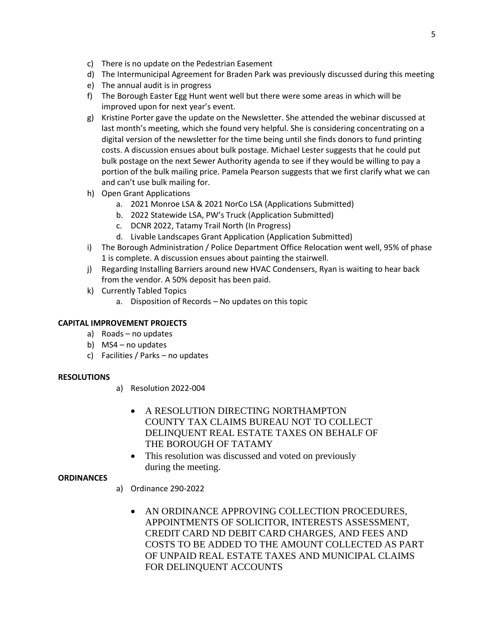- c) There is no update on the Pedestrian Easement
- d) The Intermunicipal Agreement for Braden Park was previously discussed during this meeting
- e) The annual audit is in progress
- f) The Borough Easter Egg Hunt went well but there were some areas in which will be improved upon for next year's event.
- g) Kristine Porter gave the update on the Newsletter. She attended the webinar discussed at last month's meeting, which she found very helpful. She is considering concentrating on a digital version of the newsletter for the time being until she finds donors to fund printing costs. A discussion ensues about bulk postage. Michael Lester suggests that he could put bulk postage on the next Sewer Authority agenda to see if they would be willing to pay a portion of the bulk mailing price. Pamela Pearson suggests that we first clarify what we can and can't use bulk mailing for.
- h) Open Grant Applications
	- a. 2021 Monroe LSA & 2021 NorCo LSA (Applications Submitted)
	- b. 2022 Statewide LSA, PW's Truck (Application Submitted)
	- c. DCNR 2022, Tatamy Trail North (In Progress)
	- d. Livable Landscapes Grant Application (Application Submitted)
- i) The Borough Administration / Police Department Office Relocation went well, 95% of phase 1 is complete. A discussion ensues about painting the stairwell.
- j) Regarding Installing Barriers around new HVAC Condensers, Ryan is waiting to hear back from the vendor. A 50% deposit has been paid.
- k) Currently Tabled Topics
	- a. Disposition of Records No updates on this topic

# **CAPITAL IMPROVEMENT PROJECTS**

- a) Roads no updates
- b) MS4 no updates
- c) Facilities / Parks no updates

# **RESOLUTIONS**

- a) Resolution 2022-004
	- A RESOLUTION DIRECTING NORTHAMPTON COUNTY TAX CLAIMS BUREAU NOT TO COLLECT DELINQUENT REAL ESTATE TAXES ON BEHALF OF THE BOROUGH OF TATAMY
	- This resolution was discussed and voted on previously during the meeting.

# **ORDINANCES**

- a) Ordinance 290-2022
	- AN ORDINANCE APPROVING COLLECTION PROCEDURES, APPOINTMENTS OF SOLICITOR, INTERESTS ASSESSMENT, CREDIT CARD ND DEBIT CARD CHARGES, AND FEES AND COSTS TO BE ADDED TO THE AMOUNT COLLECTED AS PART OF UNPAID REAL ESTATE TAXES AND MUNICIPAL CLAIMS FOR DELINQUENT ACCOUNTS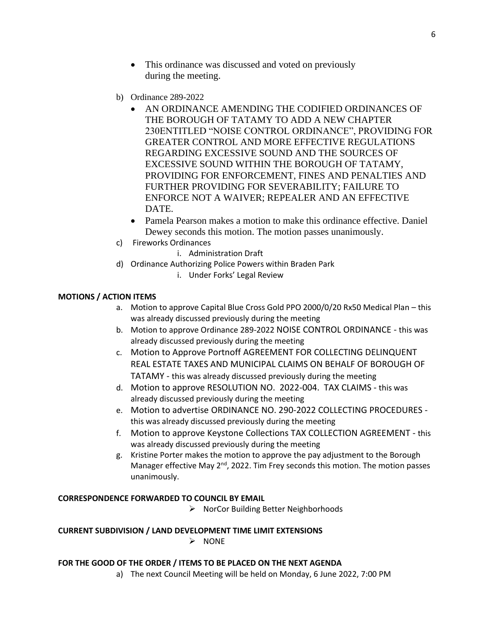- This ordinance was discussed and voted on previously during the meeting.
- b) Ordinance 289-2022
	- AN ORDINANCE AMENDING THE CODIFIED ORDINANCES OF THE BOROUGH OF TATAMY TO ADD A NEW CHAPTER 230ENTITLED "NOISE CONTROL ORDINANCE", PROVIDING FOR GREATER CONTROL AND MORE EFFECTIVE REGULATIONS REGARDING EXCESSIVE SOUND AND THE SOURCES OF EXCESSIVE SOUND WITHIN THE BOROUGH OF TATAMY, PROVIDING FOR ENFORCEMENT, FINES AND PENALTIES AND FURTHER PROVIDING FOR SEVERABILITY; FAILURE TO ENFORCE NOT A WAIVER; REPEALER AND AN EFFECTIVE DATE.
	- Pamela Pearson makes a motion to make this ordinance effective. Daniel Dewey seconds this motion. The motion passes unanimously.
- c) Fireworks Ordinances
	- i. Administration Draft
- d) Ordinance Authorizing Police Powers within Braden Park
	- i. Under Forks' Legal Review

# **MOTIONS / ACTION ITEMS**

- a. Motion to approve Capital Blue Cross Gold PPO 2000/0/20 Rx50 Medical Plan this was already discussed previously during the meeting
- b. Motion to approve Ordinance 289-2022 NOISE CONTROL ORDINANCE this was already discussed previously during the meeting
- c. Motion to Approve Portnoff AGREEMENT FOR COLLECTING DELINQUENT REAL ESTATE TAXES AND MUNICIPAL CLAIMS ON BEHALF OF BOROUGH OF TATAMY - this was already discussed previously during the meeting
- d. Motion to approve RESOLUTION NO. 2022-004. TAX CLAIMS this was already discussed previously during the meeting
- e. Motion to advertise ORDINANCE NO. 290-2022 COLLECTING PROCEDURES this was already discussed previously during the meeting
- f. Motion to approve Keystone Collections TAX COLLECTION AGREEMENT this was already discussed previously during the meeting
- g. Kristine Porter makes the motion to approve the pay adjustment to the Borough Manager effective May  $2^{nd}$ , 2022. Tim Frey seconds this motion. The motion passes unanimously.

#### **CORRESPONDENCE FORWARDED TO COUNCIL BY EMAIL**

➢ NorCor Building Better Neighborhoods

#### **CURRENT SUBDIVISION / LAND DEVELOPMENT TIME LIMIT EXTENSIONS**

➢ NONE

#### **FOR THE GOOD OF THE ORDER / ITEMS TO BE PLACED ON THE NEXT AGENDA**

a) The next Council Meeting will be held on Monday, 6 June 2022, 7:00 PM